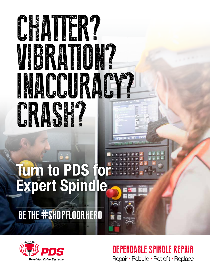



## Repair • Rebuild • Retrofit • Replace DEPENDABLE SPINDLE REPAIR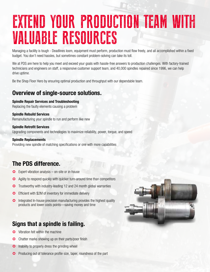## EXTEND YOUR PRODUCTION TEAM WITH VALUABLE RESOURCES

Managing a facility is tough - Deadlines loom, equipment must perform, production must flow freely, and all accomplished within a fixed budget. You don't need hassles, but sometimes constant problem-solving can take its toll.

We at PDS are here to help you meet and exceed your goals with hassle-free answers to production challenges. With factory-trained technicians and engineers on staff, a responsive customer support team, and 40,000 spindles repaired since 1996, we can help drive uptime.

Be the Shop Floor Hero by ensuring optimal production and throughput with our dependable team.

#### **Overview of single-source solutions.**

#### **Spindle Repair Services and Troubleshooting**

Replacing the faulty elements causing a problem

#### **Spindle Rebuild Services**

Remanufacturing your spindle to run and perform like new

#### **Spindle Retrofit Services**

Upgrading components and technologies to maximize reliability, power, torque, and speed

#### **Spindle Replacements**

Providing new spindle of matching specifications or one with more capabilities

### **The PDS difference.**

- Expert vibration analysis on-site or in-house
- Agility to respond quickly with quicker turn-around time than competitors
- **C** Trustworthy with industry-leading 12 and 24 month global warranties
- Efficient with \$2M of inventory for immediate delivery
- **C** Integrated In-house precision manufacturing provides the highest quality products and lower costs points—saving money and time

#### **Signs that a spindle is failing.**

- C Vibration felt within the machine
- Chatter marks showing up on their parts/poor finish
- **C** Inability to properly dress the grinding wheel
- **C** Producing out of tolerance profile size, taper, roundness of the part

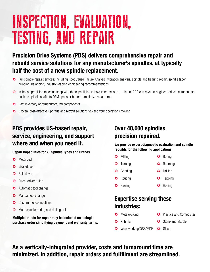## INSPECTION, EVALUATION, TESTING, AND REPAIR

## **Precision Drive Systems (PDS) delivers comprehensive repair and rebuild service solutions for any manufacturer's spindles, at typically half the cost of a new spindle replacement.**

- G Full spindle repair services: including Root Cause Failure Analysis, vibration analysis, spindle and bearing repair, spindle taper grinding, balancing, industry-leading engineering recommendations.
- In-house precision machine shop with the capabilities to hold tolerances to 1 micron. PDS can reverse-engineer critical components such as spindle shafts to OEM specs or better to minimize repair time.
- **◆** Vast inventory of remanufactured components
- **C** Proven, cost-effective upgrade and retrofit solutions to keep your operations moving

## **PDS provides US-based repair, service, engineering, and support where and when you need it.**

#### **Repair Capabilities for All Spindle Types and Brands**

- **C** Motorized
- Gear-driven
- **Belt-driven**
- **O** Direct drive/in-line
- **a** Automatic tool change
- **G** Manual tool change
- Custom tool connections
- **C** Multi-spindle boring and drilling units

**Multiple brands for repair may be included on a single purchase order simplifying payment and warranty terms.**

## **Over 40,000 spindles precision repaired.**

#### **We provide expert diagnostic evaluation and spindle rebuilds for the following applications:**

- **3** Milling **C** Boring
- **3** Turning Reaming
- **Grinding O** Drilling
- **3** Routing **3** Tapping
- **3** Sawing **3** Honing

### **Expertise serving these industries:**

- **Metalworking**
- **C** Plastics and Composites
- **C** Robotics
- Stone and Marble
- Woodworking/OSB/MDF **C** Glass

**As a vertically-integrated provider, costs and turnaround time are minimized. In addition, repair orders and fulfillment are streamlined.**